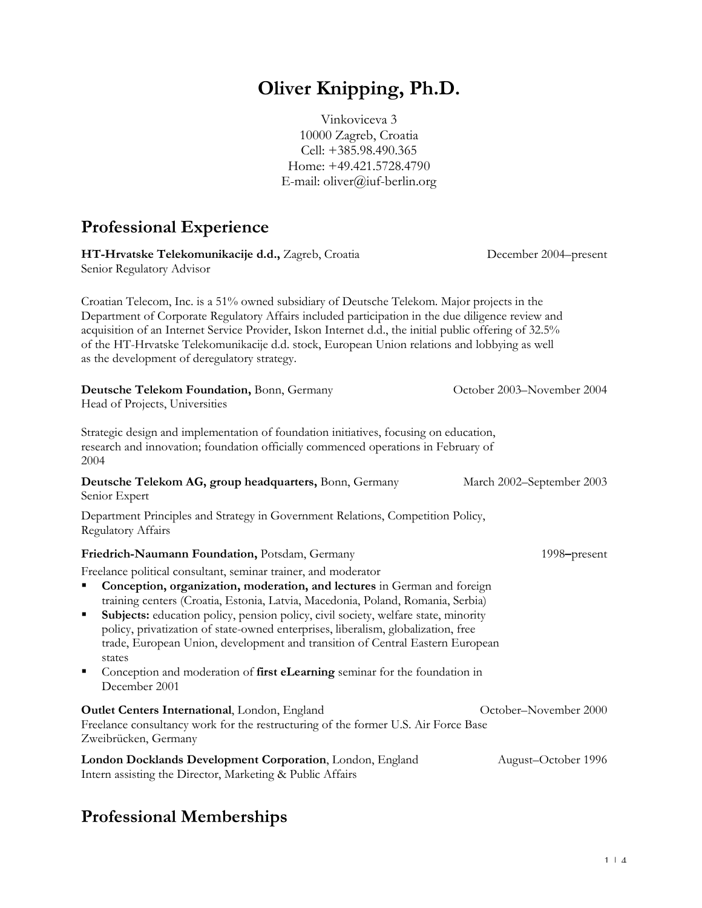# **Oliver Knipping, Ph.D.**

Vinkoviceva 3 10000 Zagreb, Croatia Cell: +385.98.490.365 Home: +49.421.5728.4790 E-mail: oliver@iuf-berlin.org

## **Professional Experience**

| HT-Hrvatske Telekomunikacije d.d., Zagreb, Croatia<br>Senior Regulatory Advisor                                                                                                                                                                                                                                                                                                                                                                                                                                                                                                                                   | December 2004–present      |
|-------------------------------------------------------------------------------------------------------------------------------------------------------------------------------------------------------------------------------------------------------------------------------------------------------------------------------------------------------------------------------------------------------------------------------------------------------------------------------------------------------------------------------------------------------------------------------------------------------------------|----------------------------|
| Croatian Telecom, Inc. is a 51% owned subsidiary of Deutsche Telekom. Major projects in the<br>Department of Corporate Regulatory Affairs included participation in the due diligence review and<br>acquisition of an Internet Service Provider, Iskon Internet d.d., the initial public offering of 32.5%<br>of the HT-Hrvatske Telekomunikacije d.d. stock, European Union relations and lobbying as well<br>as the development of deregulatory strategy.                                                                                                                                                       |                            |
| Deutsche Telekom Foundation, Bonn, Germany<br>Head of Projects, Universities                                                                                                                                                                                                                                                                                                                                                                                                                                                                                                                                      | October 2003–November 2004 |
| Strategic design and implementation of foundation initiatives, focusing on education,<br>research and innovation; foundation officially commenced operations in February of<br>2004                                                                                                                                                                                                                                                                                                                                                                                                                               |                            |
| Deutsche Telekom AG, group headquarters, Bonn, Germany<br>Senior Expert                                                                                                                                                                                                                                                                                                                                                                                                                                                                                                                                           | March 2002–September 2003  |
| Department Principles and Strategy in Government Relations, Competition Policy,<br><b>Regulatory Affairs</b>                                                                                                                                                                                                                                                                                                                                                                                                                                                                                                      |                            |
| Friedrich-Naumann Foundation, Potsdam, Germany                                                                                                                                                                                                                                                                                                                                                                                                                                                                                                                                                                    | 1998-present               |
| Freelance political consultant, seminar trainer, and moderator<br>Conception, organization, moderation, and lectures in German and foreign<br>٠<br>training centers (Croatia, Estonia, Latvia, Macedonia, Poland, Romania, Serbia)<br>Subjects: education policy, pension policy, civil society, welfare state, minority<br>٠<br>policy, privatization of state-owned enterprises, liberalism, globalization, free<br>trade, European Union, development and transition of Central Eastern European<br>states<br>٠<br>Conception and moderation of first eLearning seminar for the foundation in<br>December 2001 |                            |
| Outlet Centers International, London, England<br>Freelance consultancy work for the restructuring of the former U.S. Air Force Base<br>Zweibrücken, Germany                                                                                                                                                                                                                                                                                                                                                                                                                                                       | October-November 2000      |
| London Docklands Development Corporation, London, England<br>Intern assisting the Director, Marketing & Public Affairs                                                                                                                                                                                                                                                                                                                                                                                                                                                                                            | August-October 1996        |

## **Professional Memberships**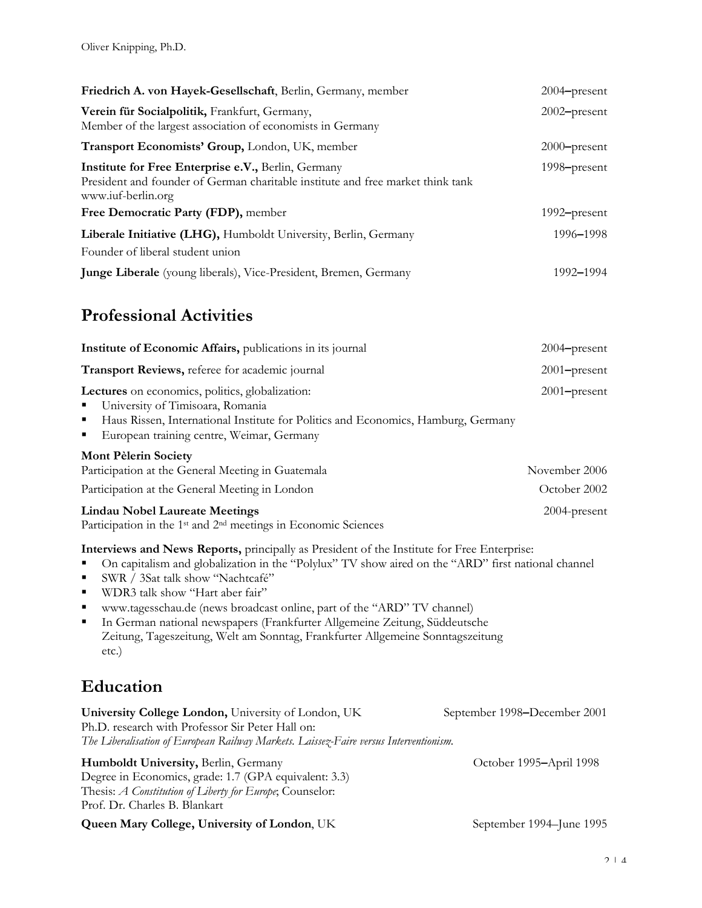| Friedrich A. von Hayek-Gesellschaft, Berlin, Germany, member                                                                                                 | 2004–present             |
|--------------------------------------------------------------------------------------------------------------------------------------------------------------|--------------------------|
| Verein für Socialpolitik, Frankfurt, Germany,<br>Member of the largest association of economists in Germany                                                  | $2002$ -present          |
| Transport Economists' Group, London, UK, member                                                                                                              | $2000$ -present          |
| Institute for Free Enterprise e.V., Berlin, Germany<br>President and founder of German charitable institute and free market think tank<br>www.iuf-berlin.org | 1998 <del>-present</del> |
| Free Democratic Party (FDP), member                                                                                                                          | 1992–present             |
| Liberale Initiative (LHG), Humboldt University, Berlin, Germany<br>Founder of liberal student union                                                          | 1996–1998                |
| Junge Liberale (young liberals), Vice-President, Bremen, Germany                                                                                             | 1992–1994                |

#### **Professional Activities**

| Institute of Economic Affairs, publications in its journal                                                                                                                                                                           | $2004$ -present               |
|--------------------------------------------------------------------------------------------------------------------------------------------------------------------------------------------------------------------------------------|-------------------------------|
| Transport Reviews, referee for academic journal                                                                                                                                                                                      | $2001$ -present               |
| Lectures on economics, politics, globalization:<br>University of Timisoara, Romania<br>п<br>Haus Rissen, International Institute for Politics and Economics, Hamburg, Germany<br>п<br>European training centre, Weimar, Germany<br>п | $2001$ -present               |
| <b>Mont Pèlerin Society</b><br>Participation at the General Meeting in Guatemala<br>Participation at the General Meeting in London                                                                                                   | November 2006<br>October 2002 |
| Lindau Nobel Laureate Meetings<br>Participation in the 1 <sup>st</sup> and 2 <sup>nd</sup> meetings in Economic Sciences                                                                                                             | $2004$ -present               |

**Interviews and News Reports,** principally as President of the Institute for Free Enterprise:

On capitalism and globalization in the "Polylux" TV show aired on the "ARD" first national channel

- SWR / 3Sat talk show "Nachtcafé"
- WDR3 talk show "Hart aber fair"
- www.tagesschau.de (news broadcast online, part of the "ARD" TV channel)
- In German national newspapers (Frankfurter Allgemeine Zeitung, Süddeutsche Zeitung, Tageszeitung, Welt am Sonntag, Frankfurter Allgemeine Sonntagszeitung etc.)

### **Education**

| University College London, University of London, UK                                   | September 1998–December 2001 |
|---------------------------------------------------------------------------------------|------------------------------|
| Ph.D. research with Professor Sir Peter Hall on:                                      |                              |
| The Liberalisation of European Railway Markets. Laissez-Faire versus Interventionism. |                              |
| Humboldt University, Berlin, Germany                                                  | October 1995–April 1998      |
| Degree in Economics, grade: 1.7 (GPA equivalent: 3.3)                                 |                              |
| Theore: $\Delta$ Constitution of Liberty for Europe Counselor.                        |                              |

Thesis: *A Constitution of Liberty for Europe*; Counselor: Prof. Dr. Charles B. Blankart

**Queen Mary College, University of London**, UK September 1994–June 1995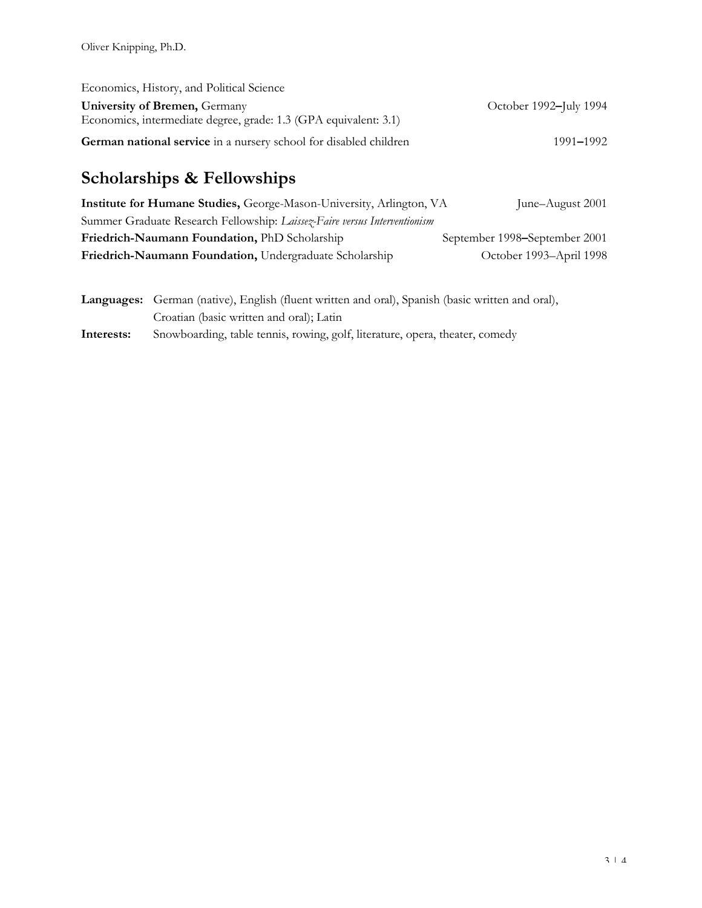| Economics, History, and Political Science                         |                        |
|-------------------------------------------------------------------|------------------------|
| University of Bremen, Germany                                     | October 1992–July 1994 |
| Economics, intermediate degree, grade: 1.3 (GPA equivalent: 3.1)  |                        |
| German national service in a nursery school for disabled children | 1991–1992              |

# **Scholarships & Fellowships**

| Institute for Humane Studies, George-Mason-University, Arlington, VA      | June-August 2001              |
|---------------------------------------------------------------------------|-------------------------------|
| Summer Graduate Research Fellowship: Laissez-Faire versus Interventionism |                               |
| Friedrich-Naumann Foundation, PhD Scholarship                             | September 1998–September 2001 |
| Friedrich-Naumann Foundation, Undergraduate Scholarship                   | October 1993–April 1998       |

|            | Languages: German (native), English (fluent written and oral), Spanish (basic written and oral), |
|------------|--------------------------------------------------------------------------------------------------|
|            | Croatian (basic written and oral); Latin                                                         |
| Interests: | Snowboarding, table tennis, rowing, golf, literature, opera, theater, comedy                     |